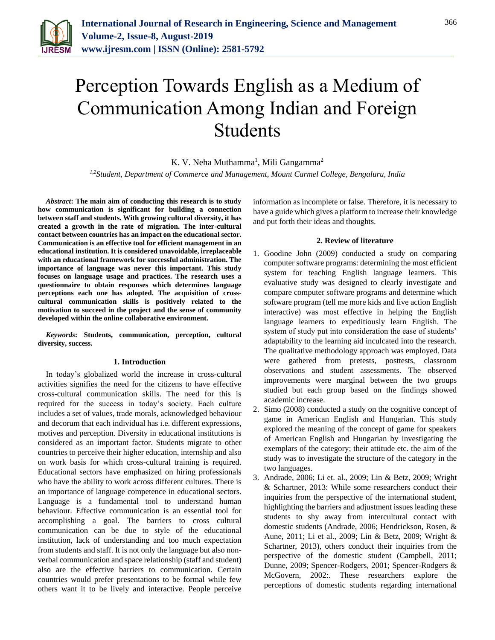

# Perception Towards English as a Medium of Communication Among Indian and Foreign Students

K. V. Neha Muthamma<sup>1</sup>, Mili Gangamma<sup>2</sup> *1,2Student, Department of Commerce and Management, Mount Carmel College, Bengaluru, India*

*Abstract***: The main aim of conducting this research is to study how communication is significant for building a connection between staff and students. With growing cultural diversity, it has created a growth in the rate of migration. The inter-cultural contact between countries has an impact on the educational sector. Communication is an effective tool for efficient management in an educational institution. It is considered unavoidable, irreplaceable with an educational framework for successful administration. The importance of language was never this important. This study focuses on language usage and practices. The research uses a questionnaire to obtain responses which determines language perceptions each one has adopted. The acquisition of crosscultural communication skills is positively related to the motivation to succeed in the project and the sense of community developed within the online collaborative environment.**

*Keywords***: Students, communication, perception, cultural diversity, success.**

#### **1. Introduction**

In today's globalized world the increase in cross-cultural activities signifies the need for the citizens to have effective cross-cultural communication skills. The need for this is required for the success in today's society. Each culture includes a set of values, trade morals, acknowledged behaviour and decorum that each individual has i.e. different expressions, motives and perception. Diversity in educational institutions is considered as an important factor. Students migrate to other countries to perceive their higher education, internship and also on work basis for which cross-cultural training is required. Educational sectors have emphasized on hiring professionals who have the ability to work across different cultures. There is an importance of language competence in educational sectors. Language is a fundamental tool to understand human behaviour. Effective communication is an essential tool for accomplishing a goal. The barriers to cross cultural communication can be due to style of the educational institution, lack of understanding and too much expectation from students and staff. It is not only the language but also nonverbal communication and space relationship (staff and student) also are the effective barriers to communication. Certain countries would prefer presentations to be formal while few others want it to be lively and interactive. People perceive information as incomplete or false. Therefore, it is necessary to have a guide which gives a platform to increase their knowledge and put forth their ideas and thoughts.

#### **2. Review of literature**

- 1. Goodine John (2009) conducted a study on comparing computer software programs: determining the most efficient system for teaching English language learners. This evaluative study was designed to clearly investigate and compare computer software programs and determine which software program (tell me more kids and live action English interactive) was most effective in helping the English language learners to expeditiously learn English. The system of study put into consideration the ease of students' adaptability to the learning aid inculcated into the research. The qualitative methodology approach was employed. Data were gathered from pretests, posttests, classroom observations and student assessments. The observed improvements were marginal between the two groups studied but each group based on the findings showed academic increase.
- 2. Simo (2008) conducted a study on the cognitive concept of game in American English and Hungarian. This study explored the meaning of the concept of game for speakers of American English and Hungarian by investigating the exemplars of the category; their attitude etc. the aim of the study was to investigate the structure of the category in the two languages.
- 3. Andrade, 2006; Li et. al., 2009; Lin & Betz, 2009; Wright & Schartner, 2013: While some researchers conduct their inquiries from the perspective of the international student, highlighting the barriers and adjustment issues leading these students to shy away from intercultural contact with domestic students (Andrade, 2006; Hendrickson, Rosen, & Aune, 2011; Li et al., 2009; Lin & Betz, 2009; Wright & Schartner, 2013), others conduct their inquiries from the perspective of the domestic student (Campbell, 2011; Dunne, 2009; Spencer-Rodgers, 2001; Spencer-Rodgers & McGovern, 2002:. These researchers explore the perceptions of domestic students regarding international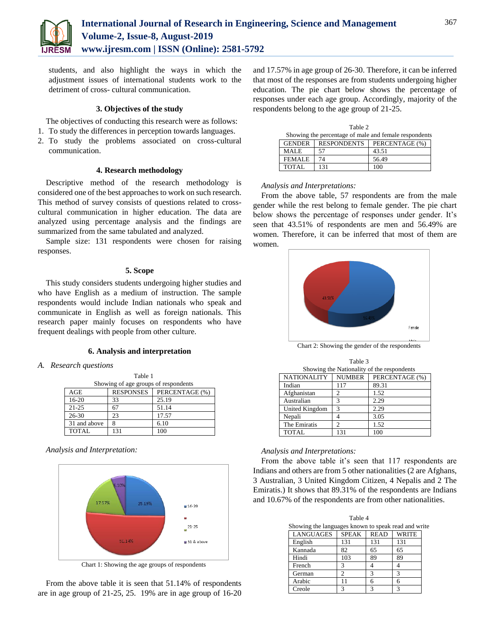

students, and also highlight the ways in which the adjustment issues of international students work to the detriment of cross- cultural communication.

#### **3. Objectives of the study**

The objectives of conducting this research were as follows:

- 1. To study the differences in perception towards languages.
- 2. To study the problems associated on cross-cultural communication.

#### **4. Research methodology**

Descriptive method of the research methodology is considered one of the best approaches to work on such research. This method of survey consists of questions related to crosscultural communication in higher education. The data are analyzed using percentage analysis and the findings are summarized from the same tabulated and analyzed.

Sample size: 131 respondents were chosen for raising responses.

# **5. Scope**

This study considers students undergoing higher studies and who have English as a medium of instruction. The sample respondents would include Indian nationals who speak and communicate in English as well as foreign nationals. This research paper mainly focuses on respondents who have frequent dealings with people from other culture.

#### **6. Analysis and interpretation**

#### *A. Research questions*

| Table 1      |                                      |                |  |  |
|--------------|--------------------------------------|----------------|--|--|
|              | Showing of age groups of respondents |                |  |  |
| AGE          | <b>RESPONSES</b>                     | PERCENTAGE (%) |  |  |
| $16-20$      | 33                                   | 25.19          |  |  |
| $21 - 25$    | 67                                   | 51.14          |  |  |
| $26 - 30$    | 23                                   | 17.57          |  |  |
| 31 and above | 8                                    | 6.10           |  |  |
| <b>TOTAL</b> | 131                                  | 100            |  |  |

#### *Analysis and Interpretation:*



Chart 1: Showing the age groups of respondents

From the above table it is seen that 51.14% of respondents are in age group of 21-25, 25. 19% are in age group of 16-20 and 17.57% in age group of 26-30. Therefore, it can be inferred that most of the responses are from students undergoing higher education. The pie chart below shows the percentage of responses under each age group. Accordingly, majority of the respondents belong to the age group of 21-25.

| Table 2                                               |                    |                |  |  |
|-------------------------------------------------------|--------------------|----------------|--|--|
| Showing the percentage of male and female respondents |                    |                |  |  |
| <b>GENDER</b>                                         | <b>RESPONDENTS</b> | PERCENTAGE (%) |  |  |
| <b>MALE</b>                                           | 57                 | 43.51          |  |  |
| <b>FEMALE</b>                                         | 74                 | 56.49          |  |  |
| TOTAL                                                 | 131                | 100            |  |  |

### *Analysis and Interpretations:*

From the above table, 57 respondents are from the male gender while the rest belong to female gender. The pie chart below shows the percentage of responses under gender. It's seen that 43.51% of respondents are men and 56.49% are women. Therefore, it can be inferred that most of them are women.



Chart 2: Showing the gender of the respondents

| Table 3                                    |               |                |  |  |  |
|--------------------------------------------|---------------|----------------|--|--|--|
| Showing the Nationality of the respondents |               |                |  |  |  |
| <b>NATIONALITY</b>                         | <b>NUMBER</b> | PERCENTAGE (%) |  |  |  |
| Indian                                     | 117           | 89.31          |  |  |  |
| Afghanistan                                | 2             | 1.52           |  |  |  |
| Australian                                 | 3             | 2.29           |  |  |  |
| United Kingdom                             | 3             | 2.29           |  |  |  |
| Nepali                                     |               | 3.05           |  |  |  |
| The Emiratis                               | っ             | 1.52           |  |  |  |
| <b>TOTAL</b>                               | 131           | 100            |  |  |  |

#### *Analysis and Interpretations:*

From the above table it's seen that 117 respondents are Indians and others are from 5 other nationalities (2 are Afghans, 3 Australian, 3 United Kingdom Citizen, 4 Nepalis and 2 The Emiratis.) It shows that 89.31% of the respondents are Indians and 10.67% of the respondents are from other nationalities.

| Table 4                                             |              |             |              |  |  |
|-----------------------------------------------------|--------------|-------------|--------------|--|--|
| Showing the languages known to speak read and write |              |             |              |  |  |
| <b>LANGUAGES</b>                                    | <b>SPEAK</b> | <b>READ</b> | <b>WRITE</b> |  |  |
| English                                             | 131          | 131         | 131          |  |  |
| Kannada                                             | 82           | 65          | 65           |  |  |
| Hindi                                               | 103          | 89          | 89           |  |  |
| French                                              | 3            |             |              |  |  |
| German                                              | っ            | 3           | 3            |  |  |
| Arabic                                              | $\mathbf{1}$ | 6           | 6            |  |  |
| Creole                                              | 3            | 3           | з            |  |  |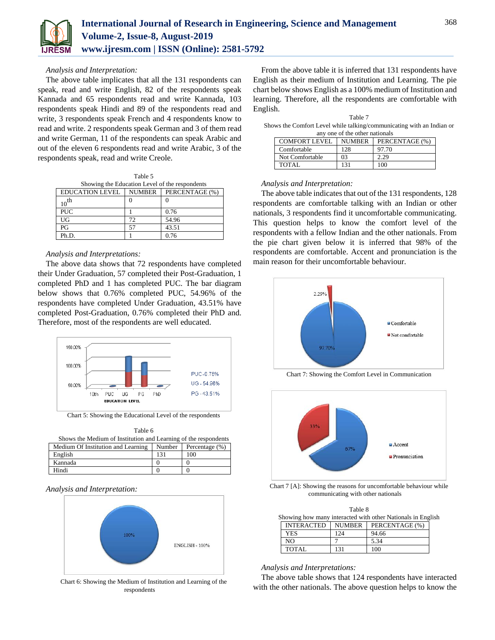

#### *Analysis and Interpretation:*

The above table implicates that all the 131 respondents can speak, read and write English, 82 of the respondents speak Kannada and 65 respondents read and write Kannada, 103 respondents speak Hindi and 89 of the respondents read and write, 3 respondents speak French and 4 respondents know to read and write. 2 respondents speak German and 3 of them read and write German, 11 of the respondents can speak Arabic and out of the eleven 6 respondents read and write Arabic, 3 of the respondents speak, read and write Creole.

| Table 5                |                                                |                |  |  |  |
|------------------------|------------------------------------------------|----------------|--|--|--|
|                        | Showing the Education Level of the respondents |                |  |  |  |
| <b>EDUCATION LEVEL</b> | <b>NUMBER</b>                                  | PERCENTAGE (%) |  |  |  |
| $10^{th}$              |                                                |                |  |  |  |
| <b>PUC</b>             |                                                | 0.76           |  |  |  |
| UG                     | 72                                             | 54.96          |  |  |  |
| PG                     | 57                                             | 43.51          |  |  |  |
| Ph.D.                  |                                                | 0.76           |  |  |  |

# *Analysis and Interpretations:*

The above data shows that 72 respondents have completed their Under Graduation, 57 completed their Post-Graduation, 1 completed PhD and 1 has completed PUC. The bar diagram below shows that 0.76% completed PUC, 54.96% of the respondents have completed Under Graduation, 43.51% have completed Post-Graduation, 0.76% completed their PhD and. Therefore, most of the respondents are well educated.



Chart 5: Showing the Educational Level of the respondents

| Table 6                                                            |     |     |  |  |
|--------------------------------------------------------------------|-----|-----|--|--|
| Shows the Medium of Institution and Learning of the respondents    |     |     |  |  |
| Medium Of Institution and Learning<br>Number<br>Percentage $(\% )$ |     |     |  |  |
| English                                                            | 131 | 100 |  |  |
| Kannada                                                            |     |     |  |  |

Hindi 0 0

## *Analysis and Interpretation:*



Chart 6: Showing the Medium of Institution and Learning of the respondents

From the above table it is inferred that 131 respondents have English as their medium of Institution and Learning. The pie chart below shows English as a 100% medium of Institution and learning. Therefore, all the respondents are comfortable with English.

| Table 7                                                               |  |
|-----------------------------------------------------------------------|--|
| Shows the Comfort Level while talking/communicating with an Indian or |  |
| any one of the other nationals                                        |  |

| COMFORT LEVEL   | <b>NUMBER</b> | PERCENTAGE (%) |  |  |  |
|-----------------|---------------|----------------|--|--|--|
| Comfortable     | 128           | 97.70          |  |  |  |
| Not Comfortable | 03            |                |  |  |  |
| <b>TOTAL</b>    | 131           | 100            |  |  |  |

#### *Analysis and Interpretation:*

The above table indicates that out of the 131 respondents, 128 respondents are comfortable talking with an Indian or other nationals, 3 respondents find it uncomfortable communicating. This question helps to know the comfort level of the respondents with a fellow Indian and the other nationals. From the pie chart given below it is inferred that 98% of the respondents are comfortable. Accent and pronunciation is the main reason for their uncomfortable behaviour.



Chart 7: Showing the Comfort Level in Communication



Chart 7 [A]: Showing the reasons for uncomfortable behaviour while communicating with other nationals

|                                                             | Table 8           |               |                |  |  |  |
|-------------------------------------------------------------|-------------------|---------------|----------------|--|--|--|
| Showing how many interacted with other Nationals in English |                   |               |                |  |  |  |
|                                                             | <b>INTERACTED</b> | <b>NUMBER</b> | PERCENTAGE (%) |  |  |  |
|                                                             | <b>YES</b>        | 124           | 94.66          |  |  |  |
|                                                             | NΟ                |               | 5.34           |  |  |  |
|                                                             | TOTAL.            | 131           | 100            |  |  |  |

#### *Analysis and Interpretations:*

The above table shows that 124 respondents have interacted with the other nationals. The above question helps to know the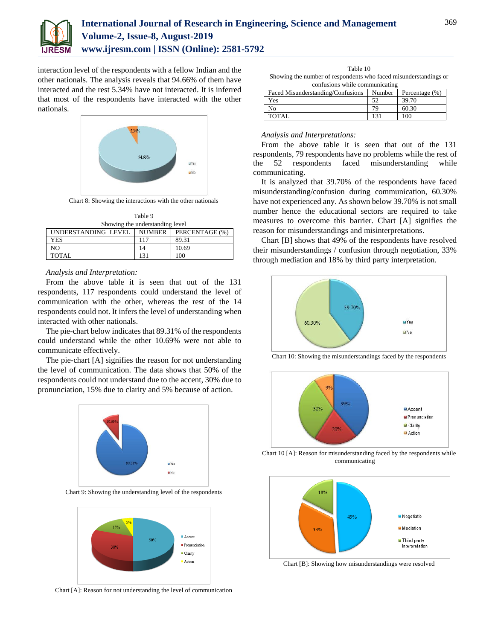

interaction level of the respondents with a fellow Indian and the other nationals. The analysis reveals that 94.66% of them have interacted and the rest 5.34% have not interacted. It is inferred that most of the respondents have interacted with the other nationals.



Chart 8: Showing the interactions with the other nationals

| Table 9                                                |     |       |  |  |
|--------------------------------------------------------|-----|-------|--|--|
| Showing the understanding level                        |     |       |  |  |
| PERCENTAGE (%)<br>UNDERSTANDING LEVEL<br><b>NUMBER</b> |     |       |  |  |
| <b>YES</b>                                             | 117 | 89.31 |  |  |
| NO.                                                    | 14  | 10.69 |  |  |
| TOTAL                                                  | 131 | 100   |  |  |

#### *Analysis and Interpretation:*

From the above table it is seen that out of the 131 respondents, 117 respondents could understand the level of communication with the other, whereas the rest of the 14 respondents could not. It infers the level of understanding when interacted with other nationals.

The pie-chart below indicates that 89.31% of the respondents could understand while the other 10.69% were not able to communicate effectively.

The pie-chart [A] signifies the reason for not understanding the level of communication. The data shows that 50% of the respondents could not understand due to the accent, 30% due to pronunciation, 15% due to clarity and 5% because of action.



Chart 9: Showing the understanding level of the respondents



Chart [A]: Reason for not understanding the level of communication

| Table 10                                                         |
|------------------------------------------------------------------|
| Showing the number of respondents who faced misunderstandings or |
|                                                                  |

| confusions while communicating                                    |     |       |  |
|-------------------------------------------------------------------|-----|-------|--|
| Faced Misunderstanding/Confusions<br>Number<br>Percentage $(\% )$ |     |       |  |
| Yes                                                               | 52  | 39.70 |  |
| Nο                                                                | 70, | 60.30 |  |
| TOTAL                                                             | 131 | 100   |  |

#### *Analysis and Interpretations:*

From the above table it is seen that out of the 131 respondents, 79 respondents have no problems while the rest of the 52 respondents faced misunderstanding while communicating.

It is analyzed that 39.70% of the respondents have faced misunderstanding/confusion during communication, 60.30% have not experienced any. As shown below 39.70% is not small number hence the educational sectors are required to take measures to overcome this barrier. Chart [A] signifies the reason for misunderstandings and misinterpretations.

Chart [B] shows that 49% of the respondents have resolved their misunderstandings / confusion through negotiation, 33% through mediation and 18% by third party interpretation.



Chart 10: Showing the misunderstandings faced by the respondents



Chart 10 [A]: Reason for misunderstanding faced by the respondents while communicating



Chart [B]: Showing how misunderstandings were resolved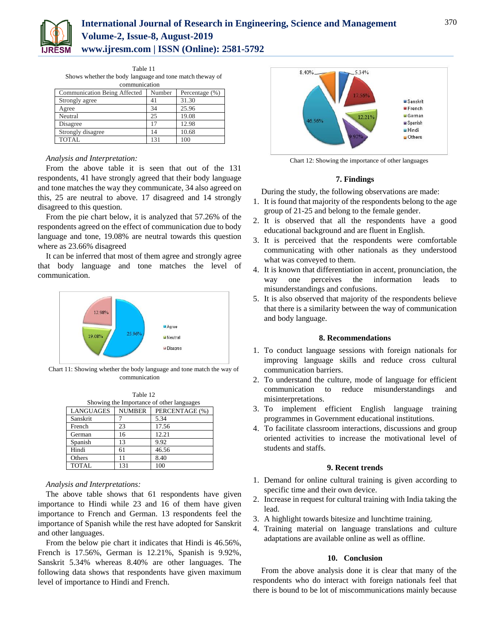

# **International Journal of Research in Engineering, Science and Management Volume-2, Issue-8, August-2019 www.ijresm.com | ISSN (Online): 2581-5792**

| Table 11                                                 |  |  |
|----------------------------------------------------------|--|--|
| Shows whether the body language and tone match theway of |  |  |
| communication                                            |  |  |

| Communication Being Affected | Number | Percentage $(\% )$ |
|------------------------------|--------|--------------------|
| Strongly agree               | 41     | 31.30              |
| Agree                        | 34     | 25.96              |
| Neutral                      | 25     | 19.08              |
| Disagree                     | 17     | 12.98              |
| Strongly disagree            | 14     | 10.68              |
| <b>TOTAL</b>                 | 131    | 100                |

## *Analysis and Interpretation:*

From the above table it is seen that out of the 131 respondents, 41 have strongly agreed that their body language and tone matches the way they communicate, 34 also agreed on this, 25 are neutral to above. 17 disagreed and 14 strongly disagreed to this question.

From the pie chart below, it is analyzed that 57.26% of the respondents agreed on the effect of communication due to body language and tone, 19.08% are neutral towards this question where as 23.66% disagreed

It can be inferred that most of them agree and strongly agree that body language and tone matches the level of communication.



Chart 11: Showing whether the body language and tone match the way of communication

| Table 12                                  |  |
|-------------------------------------------|--|
| Showing the Importance of other languages |  |

| LANGUAGES    | <b>NUMBER</b> | PERCENTAGE (%) |
|--------------|---------------|----------------|
| Sanskrit     |               | 5.34           |
| French       | 23            | 17.56          |
| German       | 16            | 12.21          |
| Spanish      | 13            | 9.92           |
| Hindi        | 61            | 46.56          |
| Others       | 11            | 8.40           |
| <b>TOTAL</b> | 131           | 100            |

#### *Analysis and Interpretations:*

The above table shows that 61 respondents have given importance to Hindi while 23 and 16 of them have given importance to French and German. 13 respondents feel the importance of Spanish while the rest have adopted for Sanskrit and other languages.

From the below pie chart it indicates that Hindi is 46.56%, French is 17.56%, German is 12.21%, Spanish is 9.92%, Sanskrit 5.34% whereas 8.40% are other languages. The following data shows that respondents have given maximum level of importance to Hindi and French.



Chart 12: Showing the importance of other languages

#### **7. Findings**

During the study, the following observations are made:

- 1. It is found that majority of the respondents belong to the age group of 21-25 and belong to the female gender.
- 2. It is observed that all the respondents have a good educational background and are fluent in English.
- 3. It is perceived that the respondents were comfortable communicating with other nationals as they understood what was conveyed to them.
- 4. It is known that differentiation in accent, pronunciation, the way one perceives the information leads misunderstandings and confusions.
- 5. It is also observed that majority of the respondents believe that there is a similarity between the way of communication and body language.

#### **8. Recommendations**

- 1. To conduct language sessions with foreign nationals for improving language skills and reduce cross cultural communication barriers.
- 2. To understand the culture, mode of language for efficient communication to reduce misunderstandings and misinterpretations.
- 3. To implement efficient English language training programmes in Government educational institutions.
- 4. To facilitate classroom interactions, discussions and group oriented activities to increase the motivational level of students and staffs.

# **9. Recent trends**

- 1. Demand for online cultural training is given according to specific time and their own device.
- 2. Increase in request for cultural training with India taking the lead.
- 3. A highlight towards bitesize and lunchtime training.
- 4. Training material on language translations and culture adaptations are available online as well as offline.

# **10. Conclusion**

From the above analysis done it is clear that many of the respondents who do interact with foreign nationals feel that there is bound to be lot of miscommunications mainly because